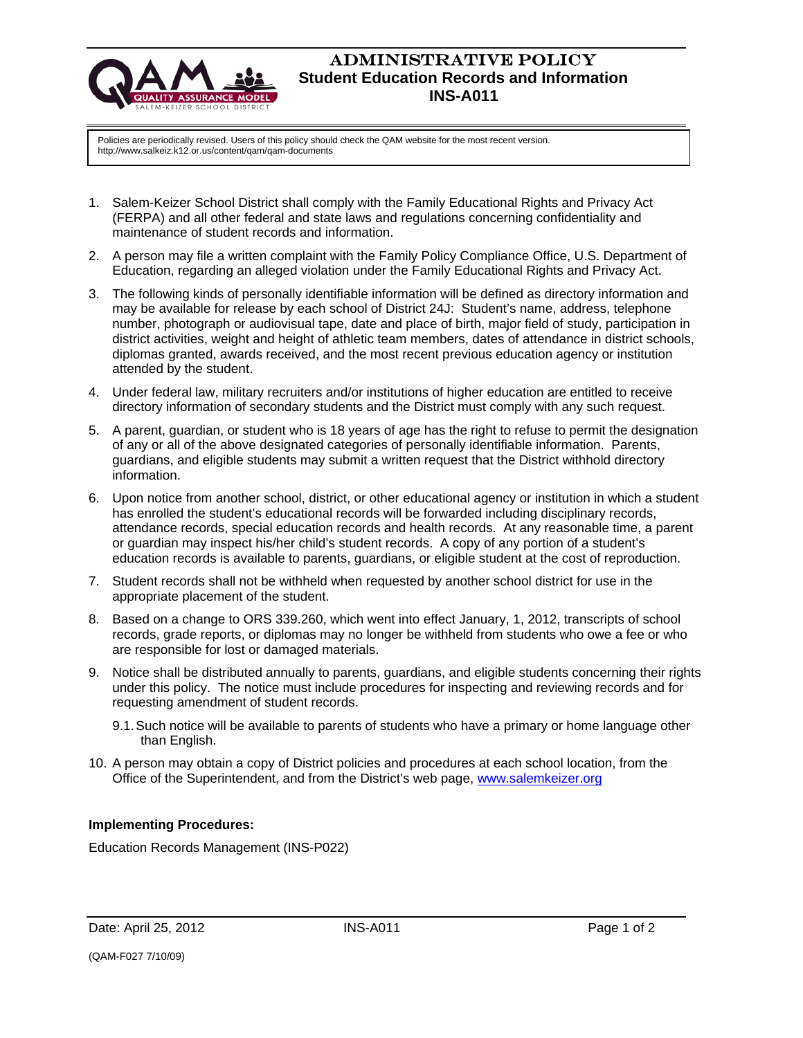

## ADMINISTRATIVE POLICY  **Student Education Records and Information INS-A011**

Policies are periodically revised. Users of this policy should check the QAM website for the most recent version. http://www.salkeiz.k12.or.us/content/qam/qam-documents

- 1. Salem-Keizer School District shall comply with the Family Educational Rights and Privacy Act (FERPA) and all other federal and state laws and regulations concerning confidentiality and maintenance of student records and information.
- 2. A person may file a written complaint with the Family Policy Compliance Office, U.S. Department of Education, regarding an alleged violation under the Family Educational Rights and Privacy Act.
- 3. The following kinds of personally identifiable information will be defined as directory information and may be available for release by each school of District 24J: Student's name, address, telephone number, photograph or audiovisual tape, date and place of birth, major field of study, participation in district activities, weight and height of athletic team members, dates of attendance in district schools, diplomas granted, awards received, and the most recent previous education agency or institution attended by the student.
- 4. Under federal law, military recruiters and/or institutions of higher education are entitled to receive directory information of secondary students and the District must comply with any such request.
- 5. A parent, guardian, or student who is 18 years of age has the right to refuse to permit the designation of any or all of the above designated categories of personally identifiable information. Parents, guardians, and eligible students may submit a written request that the District withhold directory information.
- 6. Upon notice from another school, district, or other educational agency or institution in which a student has enrolled the student's educational records will be forwarded including disciplinary records, attendance records, special education records and health records. At any reasonable time, a parent or guardian may inspect his/her child's student records. A copy of any portion of a student's education records is available to parents, guardians, or eligible student at the cost of reproduction.
- 7. Student records shall not be withheld when requested by another school district for use in the appropriate placement of the student.
- 8. Based on a change to ORS 339.260, which went into effect January, 1, 2012, transcripts of school records, grade reports, or diplomas may no longer be withheld from students who owe a fee or who are responsible for lost or damaged materials.
- 9. Notice shall be distributed annually to parents, guardians, and eligible students concerning their rights under this policy. The notice must include procedures for inspecting and reviewing records and for requesting amendment of student records.
	- 9.1. Such notice will be available to parents of students who have a primary or home language other than English.
- 10. A person may obtain a copy of District policies and procedures at each school location, from the Office of the Superintendent, and from the District's web page, www.salemkeizer.org

## **Implementing Procedures:**

Education Records Management (INS-P022)